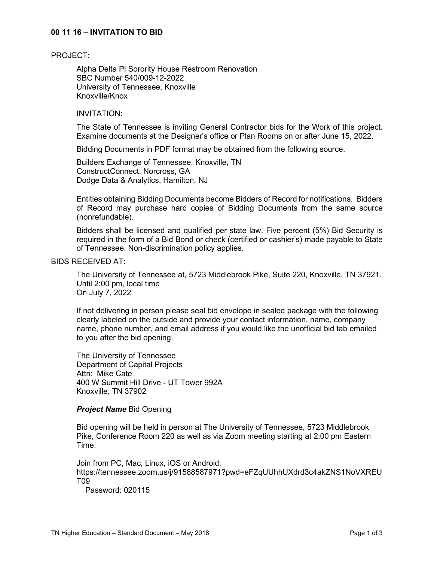### **00 11 16 – INVITATION TO BID**

#### PROJECT:

Alpha Delta Pi Sorority House Restroom Renovation SBC Number 540/009-12-2022 University of Tennessee, Knoxville Knoxville/Knox

## INVITATION:

The State of Tennessee is inviting General Contractor bids for the Work of this project. Examine documents at the Designer's office or Plan Rooms on or after June 15, 2022.

Bidding Documents in PDF format may be obtained from the following source.

Builders Exchange of Tennessee, Knoxville, TN ConstructConnect, Norcross, GA Dodge Data & Analytics, Hamilton, NJ

Entities obtaining Bidding Documents become Bidders of Record for notifications. Bidders of Record may purchase hard copies of Bidding Documents from the same source (nonrefundable).

Bidders shall be licensed and qualified per state law. Five percent (5%) Bid Security is required in the form of a Bid Bond or check (certified or cashier's) made payable to State of Tennessee. Non-discrimination policy applies.

### BIDS RECEIVED AT:

The University of Tennessee at, 5723 Middlebrook Pike, Suite 220, Knoxville, TN 37921. Until 2:00 pm, local time On July 7, 2022

If not delivering in person please seal bid envelope in sealed package with the following clearly labeled on the outside and provide your contact information, name, company name, phone number, and email address if you would like the unofficial bid tab emailed to you after the bid opening.

The University of Tennessee Department of Capital Projects Attn: Mike Cate 400 W Summit Hill Drive - UT Tower 992A Knoxville, TN 37902

### *Project Name* Bid Opening

Bid opening will be held in person at The University of Tennessee, 5723 Middlebrook Pike, Conference Room 220 as well as via Zoom meeting starting at 2:00 pm Eastern Time.

Join from PC, Mac, Linux, iOS or Android: https://tennessee.zoom.us/j/91588587971?pwd=eFZqUUhhUXdrd3c4akZNS1NoVXREU T09

Password: 020115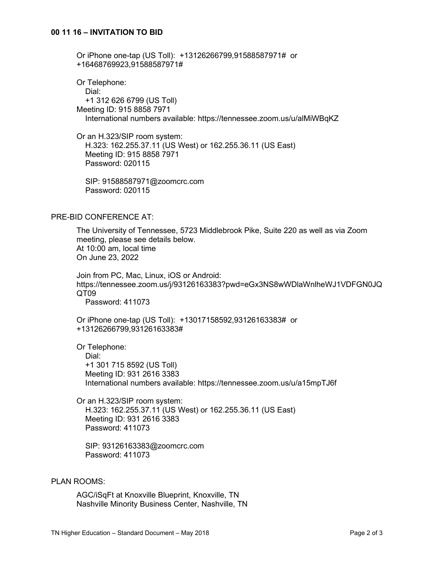## **00 11 16 – INVITATION TO BID**

Or iPhone one-tap (US Toll): +13126266799,91588587971# or +16468769923,91588587971#

Or Telephone: Dial: +1 312 626 6799 (US Toll) Meeting ID: 915 8858 7971 International numbers available: https://tennessee.zoom.us/u/alMiWBqKZ

Or an H.323/SIP room system: H.323: 162.255.37.11 (US West) or 162.255.36.11 (US East) Meeting ID: 915 8858 7971 Password: 020115

 SIP: 91588587971@zoomcrc.com Password: 020115

#### PRE-BID CONFERENCE AT:

The University of Tennessee, 5723 Middlebrook Pike, Suite 220 as well as via Zoom meeting, please see details below. At 10:00 am, local time On June 23, 2022

Join from PC, Mac, Linux, iOS or Android: https://tennessee.zoom.us/j/93126163383?pwd=eGx3NS8wWDlaWnlheWJ1VDFGN0JQ QT09

Password: 411073

Or iPhone one-tap (US Toll): +13017158592,93126163383# or +13126266799,93126163383#

Or Telephone:

 Dial: +1 301 715 8592 (US Toll) Meeting ID: 931 2616 3383 International numbers available: https://tennessee.zoom.us/u/a15mpTJ6f

Or an H.323/SIP room system: H.323: 162.255.37.11 (US West) or 162.255.36.11 (US East) Meeting ID: 931 2616 3383 Password: 411073

 SIP: 93126163383@zoomcrc.com Password: 411073

#### PLAN ROOMS:

AGC/iSqFt at Knoxville Blueprint, Knoxville, TN Nashville Minority Business Center, Nashville, TN